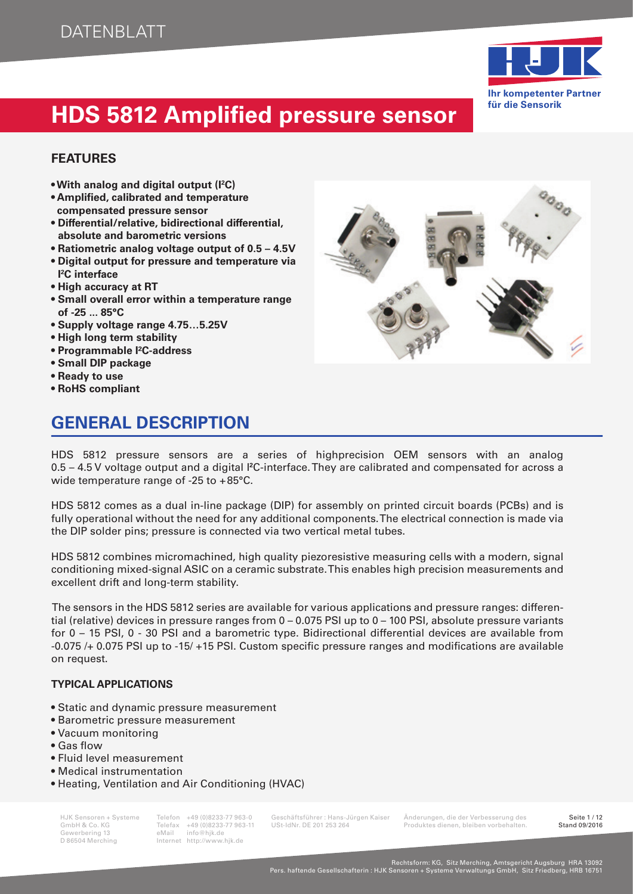

### **FEATURES**

- **With analog and digital output (I<sup>2</sup> C)**
- **Amplifi ed, calibrated and temperature compensated pressure sensor**
- **Differential/relative, bidirectional differential, absolute and barometric versions**
- **Ratiometric analog voltage output of 0.5 4.5V**
- **Digital output for pressure and temperature via I 2 C interface**
- **High accuracy at RT**
- **Small overall error within a temperature range of -25 ... 85°C**
- **Supply voltage range 4.75…5.25V**
- **High long term stability**
- **Programmable I²C-address**
- **Small DIP package**
- **Ready to use**
- **RoHS compliant**

## **GENERAL DESCRIPTION**



HDS 5812 pressure sensors are a series of highprecision OEM sensors with an analog 0.5 – 4.5 V voltage output and a digital I**<sup>2</sup>** C-interface. They are calibrated and compensated for across a wide temperature range of -25 to + 85°C.

HDS 5812 comes as a dual in-line package (DIP) for assembly on printed circuit boards (PCBs) and is fully operational without the need for any additional components. The electrical connection is made via the DIP solder pins; pressure is connected via two vertical metal tubes.

HDS 5812 combines micromachined, high quality piezoresistive measuring cells with a modern, signal conditioning mixed-signal ASIC on a ceramic substrate. This enables high precision measurements and excellent drift and long-term stability.

 The sensors in the HDS 5812 series are available for various applications and pressure ranges: differential (relative) devices in pressure ranges from 0 – 0.075 PSI up to 0 – 100 PSI, absolute pressure variants for 0 – 15 PSI, 0 - 30 PSI and a barometric type. Bidirectional differential devices are available from -0.075 /+ 0.075 PSI up to -15/ +15 PSI. Custom specific pressure ranges and modifications are available on request.

#### **TYPICAL APPLICATIONS**

- Static and dynamic pressure measurement
- Barometric pressure measurement
- Vacuum monitoring
- $\bullet$  Gas flow
- Fluid level measurement
- Medical instrumentation
- Heating, Ventilation and Air Conditioning (HVAC)

Gewerbering 13<br>D 86504 Merching

Internet http://www.hjk.de

HJK Sensoren + Systeme Telefon +49 (0)8233-77 963-0 Geschäftsführer : Hans-Jürgen Kaiser Änderungen, die der Verbesserung des Seite 1 / 12 Telefax +49 (0)8233-77 963-11 USt-IdNr. DE 201 253 264 Produktes dienen, bleiben vorbehalten.<br>eMail info@hik.de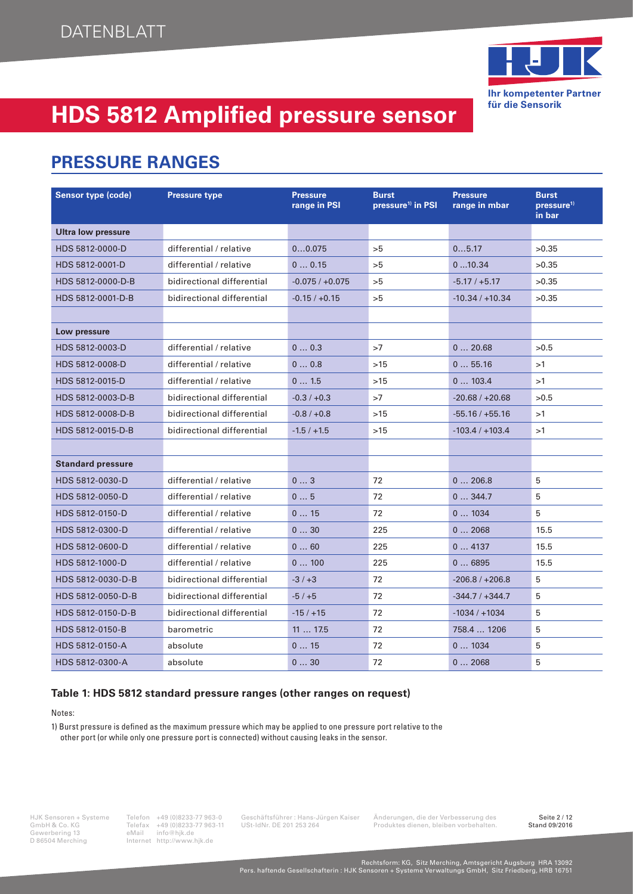

### **PRESSURE RANGES**

| <b>Sensor type (code)</b> | <b>Pressure type</b>       | <b>Pressure</b><br>range in PSI | <b>Burst</b><br>pressure <sup>1)</sup> in PSI | <b>Pressure</b><br>range in mbar | <b>Burst</b><br>pressure <sup>1)</sup><br>in bar |
|---------------------------|----------------------------|---------------------------------|-----------------------------------------------|----------------------------------|--------------------------------------------------|
| <b>Ultra low pressure</b> |                            |                                 |                                               |                                  |                                                  |
| HDS 5812-0000-D           | differential / relative    | 00.075                          | >5                                            | 05.17                            | >0.35                                            |
| HDS 5812-0001-D           | differential / relative    | 00.15                           | >5                                            | 010.34                           | >0.35                                            |
| HDS 5812-0000-D-B         | bidirectional differential | $-0.075 / +0.075$               | >5                                            | $-5.17/ +5.17$                   | >0.35                                            |
| HDS 5812-0001-D-B         | bidirectional differential | $-0.15 / +0.15$                 | >5                                            | $-10.34/+10.34$                  | >0.35                                            |
|                           |                            |                                 |                                               |                                  |                                                  |
| Low pressure              |                            |                                 |                                               |                                  |                                                  |
| HDS 5812-0003-D           | differential / relative    | 00.3                            | >7                                            | 020.68                           | >0.5                                             |
| HDS 5812-0008-D           | differential / relative    | 00.8                            | $>15$                                         | 055.16                           | >1                                               |
| HDS 5812-0015-D           | differential / relative    | 01.5                            | $>15$                                         | 0103.4                           | >1                                               |
| HDS 5812-0003-D-B         | bidirectional differential | $-0.3 / +0.3$                   | >7                                            | $-20.68 / +20.68$                | >0.5                                             |
| HDS 5812-0008-D-B         | bidirectional differential | $-0.8 / +0.8$                   | $>15$                                         | $-55.16/+55.16$                  | >1                                               |
| HDS 5812-0015-D-B         | bidirectional differential | $-1.5/ +1.5$                    | $>15$                                         | $-103.4/+103.4$                  | >1                                               |
|                           |                            |                                 |                                               |                                  |                                                  |
| <b>Standard pressure</b>  |                            |                                 |                                               |                                  |                                                  |
| HDS 5812-0030-D           | differential / relative    | 03                              | 72                                            | 0206.8                           | 5                                                |
| HDS 5812-0050-D           | differential / relative    | 05                              | 72                                            | 0344.7                           | 5                                                |
| HDS 5812-0150-D           | differential / relative    | 015                             | 72                                            | 01034                            | 5                                                |
| HDS 5812-0300-D           | differential / relative    | 030                             | 225                                           | 02068                            | 15.5                                             |
| HDS 5812-0600-D           | differential / relative    | 060                             | 225                                           | 04137                            | 15.5                                             |
| HDS 5812-1000-D           | differential / relative    | 0100                            | 225                                           | 06895                            | 15.5                                             |
| HDS 5812-0030-D-B         | bidirectional differential | $-3/ +3$                        | 72                                            | $-206.8 / +206.8$                | 5                                                |
| HDS 5812-0050-D-B         | bidirectional differential | $-5/+5$                         | 72                                            | $-344.7/+344.7$                  | 5                                                |
| HDS 5812-0150-D-B         | bidirectional differential | $-15/ +15$                      | 72                                            | $-1034/11034$                    | 5                                                |
| HDS 5812-0150-B           | barometric                 | 1117.5                          | 72                                            | 758.4  1206                      | 5                                                |
| HDS 5812-0150-A           | absolute                   | 015                             | 72                                            | 01034                            | 5                                                |
| HDS 5812-0300-A           | absolute                   | 030                             | 72                                            | 02068                            | 5                                                |

#### **Table 1: HDS 5812 standard pressure ranges (other ranges on request)**

Notes:

1) Burst pressure is defined as the maximum pressure which may be applied to one pressure port relative to the other port (or while only one pressure port is connected) without causing leaks in the sensor.

HJK Sensoren + Systeme<br>
GmbH & Co. KG<br>
Gewerbering 13 eMail info@hjk.de<br>
D 86504 Merching<br>
D 86504 Merching<br>
Hernet http://www.hjk.de Internet http://www.hjk.de

GmbH & Co. KG Telefax +49 (0)8233-77 963-11 USt-IdNr. DE 201 253 264 Produktes dienen, bleiben vorbehalten.<br>Gewerbering 13 eMail info@hjk.de Produktes dienen, bleiben vorbehalten.

HJK Sensoren + Systeme Telefon +49 (0)8233-77 963-0 Geschäftsführer : Hans-Jürgen Kaiser Änderungen, die der Verbesserung des Seite 2 / 12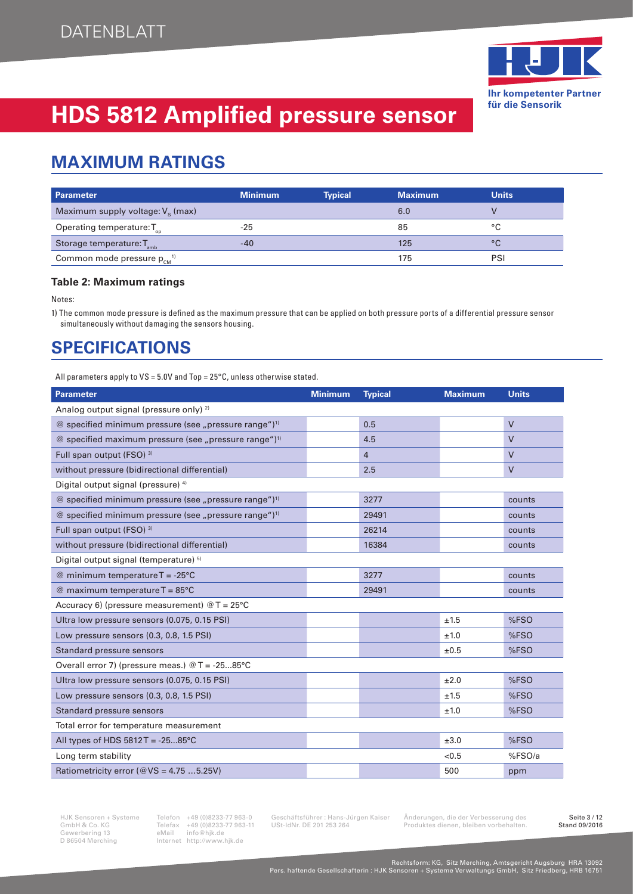

### **MAXIMUM RATINGS**

| <b>Parameter</b>                                | <b>Minimum</b> | <b>Typical</b> | <b>Maximum</b> | <b>Units</b> |
|-------------------------------------------------|----------------|----------------|----------------|--------------|
| Maximum supply voltage: $V_s$ (max)             |                |                | 6.0            |              |
| Operating temperature: $T_{\text{on}}$          | $-25$          |                | 85             | °C           |
| Storage temperature: T <sub>amb</sub>           | -40            |                | 125            | °C           |
| Common mode pressure $p_{cm}^{1}$ <sup>1)</sup> |                |                | 175            | PSI          |

#### **Table 2: Maximum ratings**

Notes:

1) The common mode pressure is defined as the maximum pressure that can be applied on both pressure ports of a differential pressure sensor simultaneously without damaging the sensors housing.

### **SPECIFICATIONS**

All parameters apply to VS = 5.0V and Top = 25°C, unless otherwise stated.

| <b>Parameter</b>                                                  | <b>Minimum</b> | <b>Typical</b> | <b>Maximum</b> | <b>Units</b> |
|-------------------------------------------------------------------|----------------|----------------|----------------|--------------|
| Analog output signal (pressure only) <sup>2)</sup>                |                |                |                |              |
| @ specified minimum pressure (see "pressure range") <sup>1)</sup> |                | 0.5            |                | $\vee$       |
| @ specified maximum pressure (see "pressure range") <sup>1)</sup> |                | 4.5            |                | $\vee$       |
| Full span output (FSO) 3)                                         |                | $\overline{4}$ |                | $\vee$       |
| without pressure (bidirectional differential)                     |                | 2.5            |                | $\vee$       |
| Digital output signal (pressure) 4)                               |                |                |                |              |
| @ specified minimum pressure (see "pressure range") <sup>1)</sup> |                | 3277           |                | counts       |
| @ specified minimum pressure (see "pressure range") <sup>1)</sup> |                | 29491          |                | counts       |
| Full span output (FSO) <sup>3)</sup>                              |                | 26214          |                | counts       |
| without pressure (bidirectional differential)                     |                | 16384          |                | counts       |
| Digital output signal (temperature) 5)                            |                |                |                |              |
| @ minimum temperature $T = -25^{\circ}C$                          |                | 3277           |                | counts       |
| @ maximum temperature $T = 85^{\circ}C$                           |                | 29491          |                | counts       |
| Accuracy 6) (pressure measurement) $@T = 25^{\circ}C$             |                |                |                |              |
| Ultra low pressure sensors (0.075, 0.15 PSI)                      |                |                | ±1.5           | %FSO         |
| Low pressure sensors (0.3, 0.8, 1.5 PSI)                          |                |                | ±1.0           | %FSO         |
| Standard pressure sensors                                         |                |                | ±0.5           | %FSO         |
| Overall error 7) (pressure meas.) $@T = -2585°C$                  |                |                |                |              |
| Ultra low pressure sensors (0.075, 0.15 PSI)                      |                |                | ±2.0           | %FSO         |
| Low pressure sensors (0.3, 0.8, 1.5 PSI)                          |                |                | ±1.5           | %FSO         |
| Standard pressure sensors                                         |                |                | ±1.0           | %FSO         |
| Total error for temperature measurement                           |                |                |                |              |
| All types of HDS $5812T = -2585^{\circ}C$                         |                |                | ±3.0           | %FSO         |
| Long term stability                                               |                |                | < 0.5          | %FSO/a       |
| Ratiometricity error ( $@VS = 4.755.25V$ )                        |                |                | 500            | ppm          |

HJK Sensoren + Systeme Telefon +49 (0)8233-77 963-0 Geschäftsführer : Hans-Jürgen Kaiser Änderungen, die der Verbesserung des Seite 3/12<br>GmbH & Co. KG Telefax +49 (0)8233-77 963-11 USt-IdNr. DE 201 253 264 Produktes dienen GmbH & Co. KG<br>
GmbH & Co. KG<br>
Gewerbering 13 eMail info@hjk.de<br>
D 86504 Merching<br>
Mail info@hjk.de<br>
Merching<br>
Internet http://www.hjk.de Internet http://www.hjk.de

GmbH angel, als dienen vorbehalten.<br>Produktes dienen, bleiben vorbehalten.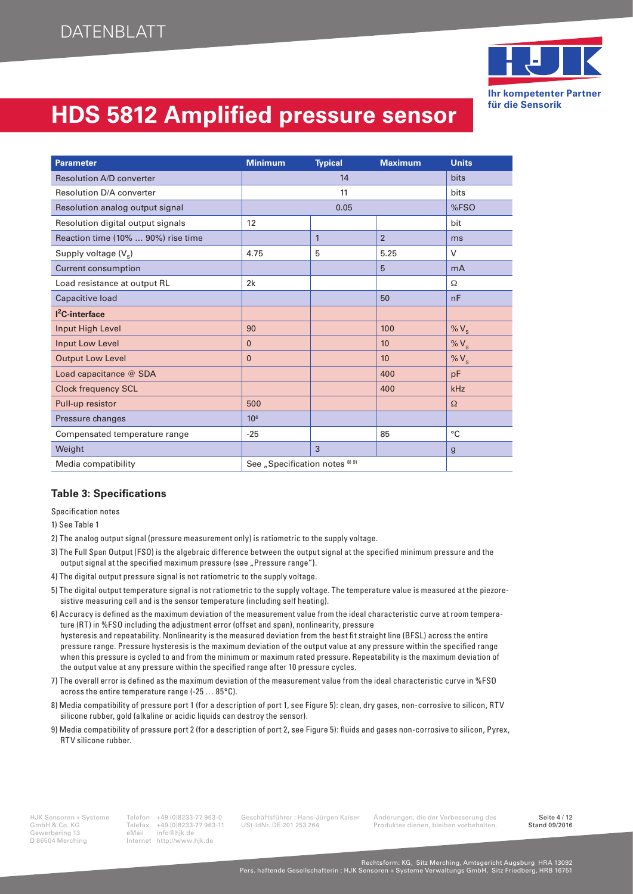

| <b>Parameter</b>                   | <b>Minimum</b>                            | <b>Typical</b> | <b>Maximum</b> | <b>Units</b> |
|------------------------------------|-------------------------------------------|----------------|----------------|--------------|
| <b>Resolution A/D converter</b>    |                                           | 14             |                | <b>bits</b>  |
| Resolution D/A converter           |                                           | 11             |                |              |
| Resolution analog output signal    |                                           | 0.05           |                | %FSO         |
| Resolution digital output signals  | 12                                        |                |                | bit          |
| Reaction time (10%  90%) rise time |                                           | $\mathbf{1}$   | $\overline{2}$ | ms           |
| Supply voltage $(V_s)$             | 4.75                                      | 5              | 5.25           | $\vee$       |
| <b>Current consumption</b>         |                                           |                | 5              | mA           |
| Load resistance at output RL       | 2k                                        |                |                | Ω            |
| Capacitive load                    |                                           |                | 50             | nF           |
| $I2C$ -interface                   |                                           |                |                |              |
| Input High Level                   | 90                                        |                | 100            | % $V_s$      |
| Input Low Level                    | $\Omega$                                  |                | 10             | % $V_s$      |
| <b>Output Low Level</b>            | $\Omega$                                  |                | 10             | % $V_s$      |
| Load capacitance @ SDA             |                                           |                | 400            | pF           |
| <b>Clock frequency SCL</b>         |                                           |                | 400            | kHz          |
| Pull-up resistor                   | 500                                       |                |                | $\Omega$     |
| Pressure changes                   | 10 <sup>6</sup>                           |                |                |              |
| Compensated temperature range      | $-25$                                     |                | 85             | °C           |
| Weight                             |                                           | 3              |                | $\mathbf{g}$ |
| Media compatibility                | See "Specification notes <sup>8) 9)</sup> |                |                |              |

#### **Table 3: Specifications**

Specification notes

1) See Table 1

- 2) The analog output signal (pressure measurement only) is ratiometric to the supply voltage.
- 3) The Full Span Output (FSO) is the algebraic difference between the output signal at the specified minimum pressure and the output signal at the specified maximum pressure (see "Pressure range").
- 4) The digital output pressure signal is not ratiometric to the supply voltage.
- 5) The digital output temperature signal is not ratiometric to the supply voltage. The temperature value is measured at the piezoresistive measuring cell and is the sensor temperature (including self heating).
- 6) Accuracy is defined as the maximum deviation of the measurement value from the ideal characteristic curve at room temperature (RT) in %FSO including the adjustment error (offset and span), nonlinearity, pressure hysteresis and repeatability. Nonlinearity is the measured deviation from the best fit straight line (BFSL) across the entire pressure range. Pressure hysteresis is the maximum deviation of the output value at any pressure within the specified range when this pressure is cycled to and from the minimum or maximum rated pressure. Repeatability is the maximum deviation of the output value at any pressure within the specified range after 10 pressure cycles.
- 7) The overall error is defined as the maximum deviation of the measurement value from the ideal characteristic curve in %FSO across the entire temperature range (-25 … 85°C).
- 8) Media compatibility of pressure port 1 (for a description of port 1, see Figure 5): clean, dry gases, non-corrosive to silicon, RTV silicone rubber, gold (alkaline or acidic liquids can destroy the sensor).
- 9) Media compatibility of pressure port 2 (for a description of port 2, see Figure 5): fluids and gases non-corrosive to silicon, Pyrex, RTV silicone rubber.

Gewerbering 13<br>D 86504 Merching

Telefax +49 (0)8233-77 963-11 USt-IdNr. DE 201 253 264 Produktes dienen, bleiben vorbehalten.<br>eMail info@hik.de Internet http://www.hjk.de

HJK Sensoren + Systeme Telefon +49 (0)8233-77 963-0 Geschäftsführer : Hans-Jürgen Kaiser Änderungen, die der Verbesserung des Seite 4 / 12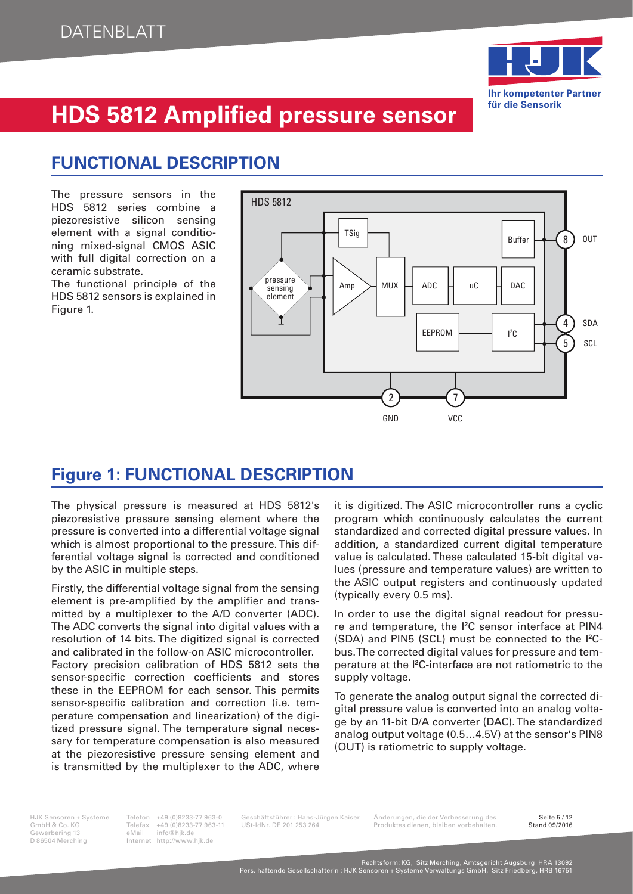

### **FUNCTIONAL DESCRIPTION**

The pressure sensors in the HDS 5812 series combine a piezoresistive silicon sensing element with a signal conditioning mixed-signal CMOS ASIC with full digital correction on a ceramic substrate.

The functional principle of the HDS 5812 sensors is explained in Figure 1.



### **Figure 1: FUNCTIONAL DESCRIPTION**

The physical pressure is measured at HDS 5812's piezoresistive pressure sensing element where the pressure is converted into a differential voltage signal which is almost proportional to the pressure. This differential voltage signal is corrected and conditioned by the ASIC in multiple steps.

Firstly, the differential voltage signal from the sensing element is pre-amplified by the amplifier and transmitted by a multiplexer to the A/D converter (ADC). The ADC converts the signal into digital values with a resolution of 14 bits. The digitized signal is corrected and calibrated in the follow-on ASIC microcontroller. Factory precision calibration of HDS 5812 sets the sensor-specific correction coefficients and stores these in the EEPROM for each sensor. This permits sensor-specific calibration and correction (i.e. temperature compensation and linearization) of the digitized pressure signal. The temperature signal necessary for temperature compensation is also measured at the piezoresistive pressure sensing element and is transmitted by the multiplexer to the ADC, where

it is digitized. The ASIC microcontroller runs a cyclic program which continuously calculates the current standardized and corrected digital pressure values. In addition, a standardized current digital temperature value is calculated. These calculated 15-bit digital values (pressure and temperature values) are written to the ASIC output registers and continuously updated (typically every 0.5 ms).

In order to use the digital signal readout for pressure and temperature, the I**<sup>2</sup>** C sensor interface at PIN4 (SDA) and PIN5 (SCL) must be connected to the I**<sup>2</sup>** Cbus. The corrected digital values for pressure and temperature at the I**<sup>2</sup>** C-interface are not ratiometric to the supply voltage.

To generate the analog output signal the corrected digital pressure value is converted into an analog voltage by an 11-bit D/A converter (DAC). The standardized analog output voltage (0.5…4.5V) at the sensor's PIN8 (OUT) is ratiometric to supply voltage.

Gewerbering 13<br>D 86504 Merching

Internet http://www.hjk.de

Telefax +49 (0)8233-77 963-11 USt-IdNr. DE 201 253 264 Produktes dienen, bleiben vorbehalten.<br>eMail info@hik.de

HJK Sensoren + Systeme Telefon +49 (0)8233-77 963-0 Geschäftsführer : Hans-Jürgen Kaiser Änderungen, die der Verbesserung des Seite 5 / 12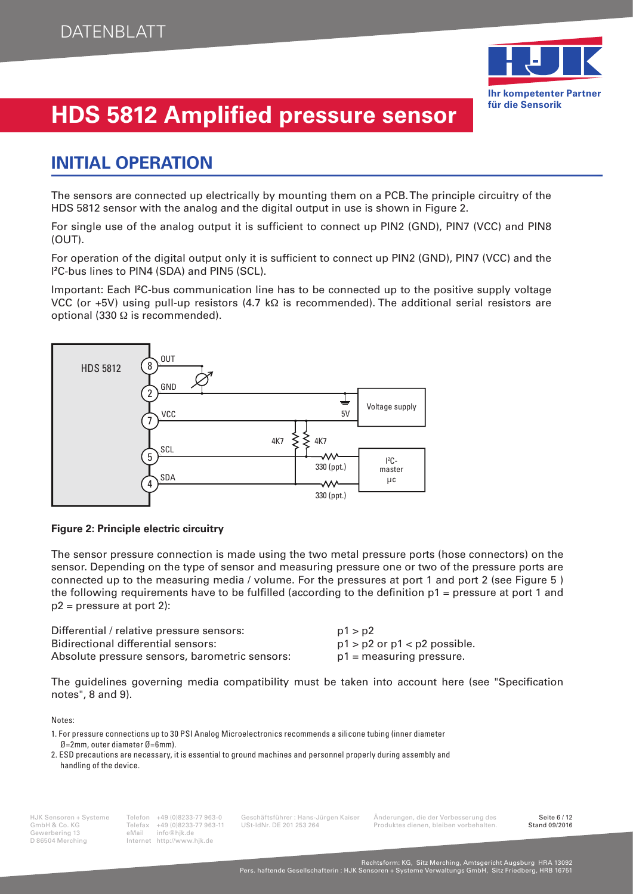

### **INITIAL OPERATION**

The sensors are connected up electrically by mounting them on a PCB. The principle circuitry of the HDS 5812 sensor with the analog and the digital output in use is shown in Figure 2.

For single use of the analog output it is sufficient to connect up PIN2 (GND), PIN7 (VCC) and PIN8 (OUT).

For operation of the digital output only it is sufficient to connect up PIN2 (GND), PIN7 (VCC) and the I **2** C-bus lines to PIN4 (SDA) and PIN5 (SCL).

Important: Each <sup>12</sup>C-bus communication line has to be connected up to the positive supply voltage VCC (or +5V) using pull-up resistors (4.7 kΩ is recommended). The additional serial resistors are optional (330 Ω is recommended).



#### **Figure 2: Principle electric circuitry**

The sensor pressure connection is made using the two metal pressure ports (hose connectors) on the sensor. Depending on the type of sensor and measuring pressure one or two of the pressure ports are connected up to the measuring media / volume. For the pressures at port 1 and port 2 (see Figure 5 ) the following requirements have to be fulfilled (according to the definition  $p_1$  = pressure at port 1 and  $p2$  = pressure at port 2):

| Differential / relative pressure sensors:      | p1 > p2                          |
|------------------------------------------------|----------------------------------|
| Bidirectional differential sensors:            | $p1 > p2$ or $p1 < p2$ possible. |
| Absolute pressure sensors, barometric sensors: | $p1$ = measuring pressure.       |

The guidelines governing media compatibility must be taken into account here (see "Specification") notes", 8 and 9).

Notes:

2. ESD precautions are necessary, it is essential to ground machines and personnel properly during assembly and handling of the device.

Gewerbering 13<br>D 86504 Merching

Internet http://www.hjk.de

HJK Sensoren + Systeme Telefon +49 (0)8233-77 963-0 Geschäftsführer : Hans-Jürgen Kaiser Änderungen, die der Verbesserung des Seite 6 / 12 Telefax +49 (0)8233-77 963-11 USt-IdNr. DE 201 253 264 Produktes dienen, bleiben vorbehalten.<br>eMail info@hik.de

<sup>1.</sup> For pressure connections up to 30 PSI Analog Microelectronics recommends a silicone tubing (inner diameter Ø=2mm, outer diameter Ø=6mm).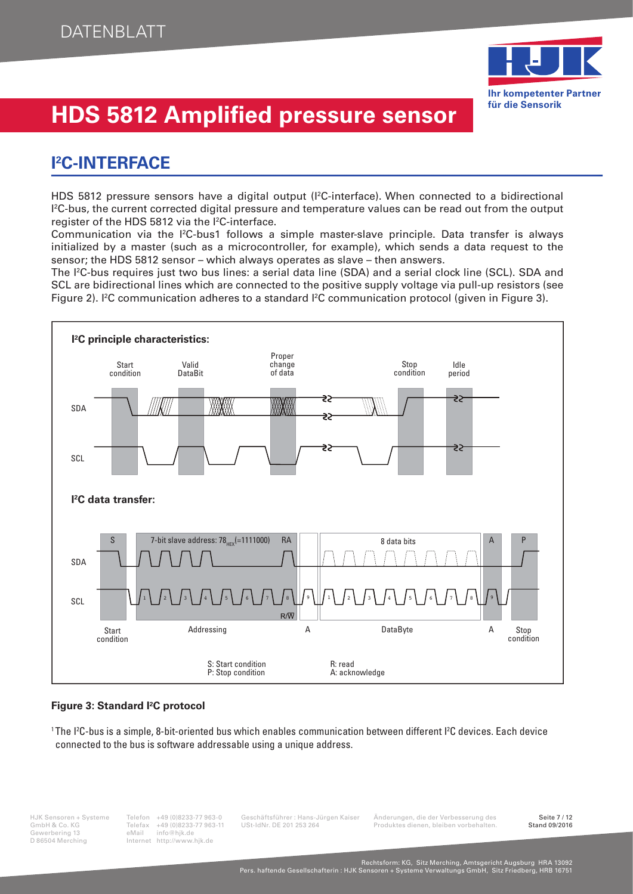

### **I 2 C-INTERFACE**

HDS 5812 pressure sensors have a digital output (I<sup>2</sup>C-interface). When connected to a bidirectional  $l^2$ C-bus, the current corrected digital pressure and temperature values can be read out from the output register of the HDS 5812 via the <sup>[2</sup>C-interface.

Communication via the I<sup>2</sup>C-bus1 follows a simple master-slave principle. Data transfer is always initialized by a master (such as a microcontroller, for example), which sends a data request to the sensor; the HDS 5812 sensor – which always operates as slave – then answers.

The I2 C-bus requires just two bus lines: a serial data line (SDA) and a serial clock line (SCL). SDA and SCL are bidirectional lines which are connected to the positive supply voltage via pull-up resistors (see Figure 2). I<sup>2</sup> C communication adheres to a standard I2 C communication protocol (given in Figure 3).



#### **Figure 3: Standard I<sup>2</sup> C protocol**

1 The I2 C-bus is a simple, 8-bit-oriented bus which enables communication between different I2 C devices. Each device connected to the bus is software addressable using a unique address.

Gewerbering 13<br>D 86504 Merching

Internet http://www.hjk.de

Telefax +49 (0)8233-77 963-11 USt-IdNr. DE 201 253 264 Produktes dienen, bleiben vorbehalten.<br>eMail info@hik.de

HJK Sensoren + Systeme Telefon +49 (0)8233-77 963-0 Geschäftsführer : Hans-Jürgen Kaiser Änderungen, die der Verbesserung des Seite 7 / 12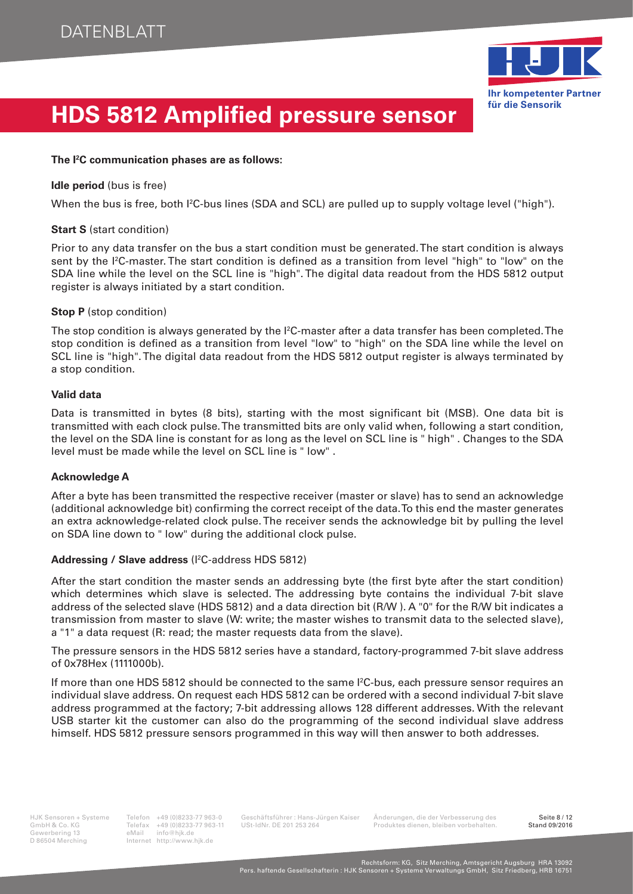

#### **The I<sup>2</sup> C communication phases are as follows:**

#### **Idle period** (bus is free)

When the bus is free, both I<sup>2</sup>C-bus lines (SDA and SCL) are pulled up to supply voltage level ("high").

#### **Start S** (start condition)

Prior to any data transfer on the bus a start condition must be generated. The start condition is always sent by the I2 C-master. The start condition is defined as a transition from level "high" to "low" on the SDA line while the level on the SCL line is "high". The digital data readout from the HDS 5812 output register is always initiated by a start condition.

#### **Stop P** (stop condition)

The stop condition is always generated by the I<sup>2</sup>C-master after a data transfer has been completed. The stop condition is defined as a transition from level "low" to "high" on the SDA line while the level on SCL line is "high". The digital data readout from the HDS 5812 output register is always terminated by a stop condition.

#### **Valid data**

Data is transmitted in bytes (8 bits), starting with the most significant bit (MSB). One data bit is transmitted with each clock pulse. The transmitted bits are only valid when, following a start condition, the level on the SDA line is constant for as long as the level on SCL line is " high" . Changes to the SDA level must be made while the level on SCL line is " low" .

#### **Acknowledge A**

After a byte has been transmitted the respective receiver (master or slave) has to send an acknowledge (additional acknowledge bit) confirming the correct receipt of the data. To this end the master generates an extra acknowledge-related clock pulse. The receiver sends the acknowledge bit by pulling the level on SDA line down to " low" during the additional clock pulse.

#### Addressing / Slave address (I<sup>2</sup>C-address HDS 5812)

After the start condition the master sends an addressing byte (the first byte after the start condition) which determines which slave is selected. The addressing byte contains the individual 7-bit slave address of the selected slave (HDS 5812) and a data direction bit (R/W ). A "0" for the R/W bit indicates a transmission from master to slave (W: write; the master wishes to transmit data to the selected slave), a "1" a data request (R: read; the master requests data from the slave).

The pressure sensors in the HDS 5812 series have a standard, factory-programmed 7-bit slave address of 0x78Hex (1111000b).

If more than one HDS 5812 should be connected to the same I <sup>2</sup>C-bus, each pressure sensor requires an individual slave address. On request each HDS 5812 can be ordered with a second individual 7-bit slave address programmed at the factory; 7-bit addressing allows 128 different addresses. With the relevant USB starter kit the customer can also do the programming of the second individual slave address himself. HDS 5812 pressure sensors programmed in this way will then answer to both addresses.

Gewerbering 13<br>D 86504 Merching

Internet http://www.hjk.de

Telefax +49 (0)8233-77 963-11 USt-IdNr. DE 201 253 264 Produktes dienen, bleiben vorbehalten.<br>eMail info@hik.de

HJK Sensoren + Systeme Telefon +49 (0)8233-77 963-0 Geschäftsführer : Hans-Jürgen Kaiser Änderungen, die der Verbesserung des Seite 8 / 12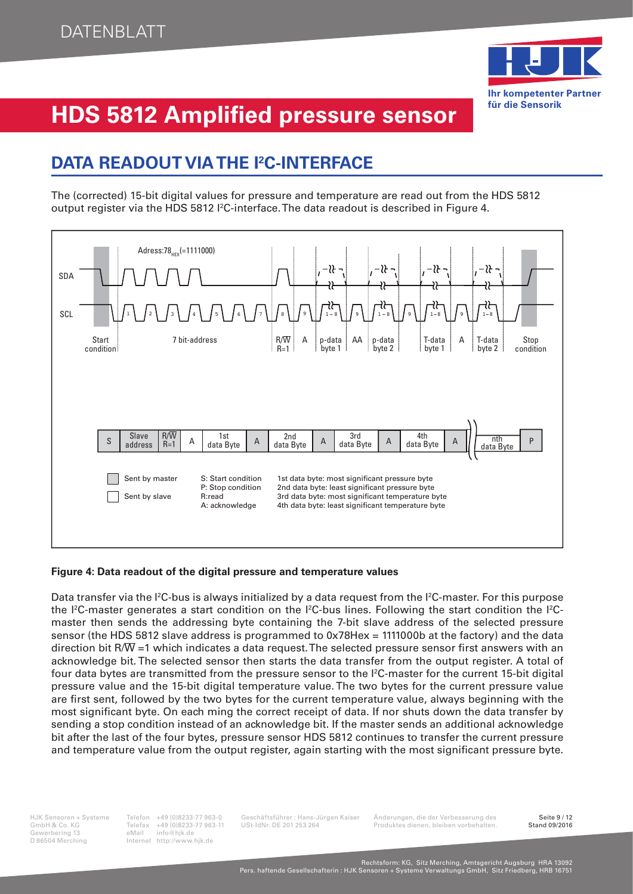

### **DATA READOUT VIA THE I<sup>2</sup> C-INTERFACE**

The (corrected) 15-bit digital values for pressure and temperature are read out from the HDS 5812 output register via the HDS 5812 I<sup>2</sup>C-interface. The data readout is described in Figure 4.



#### **Figure 4: Data readout of the digital pressure and temperature values**

Data transfer via the I<sup>2</sup>C-bus is always initialized by a data request from the I<sup>2</sup>C-master. For this purpose the I<sup>2</sup>C-master generates a start condition on the I<sup>2</sup>C-bus lines. Following the start condition the I<sup>2</sup>Cmaster then sends the addressing byte containing the 7-bit slave address of the selected pressure sensor (the HDS 5812 slave address is programmed to 0x78Hex = 1111000b at the factory) and the data direction bit R/ $\overline{W}$  =1 which indicates a data request. The selected pressure sensor first answers with an acknowledge bit. The selected sensor then starts the data transfer from the output register. A total of four data bytes are transmitted from the pressure sensor to the I<sup>2</sup>C-master for the current 15-bit digital pressure value and the 15-bit digital temperature value. The two bytes for the current pressure value are first sent, followed by the two bytes for the current temperature value, always beginning with the most significant byte. On each ming the correct receipt of data. If nor shuts down the data transfer by sending a stop condition instead of an acknowledge bit. If the master sends an additional acknowledge bit after the last of the four bytes, pressure sensor HDS 5812 continues to transfer the current pressure and temperature value from the output register, again starting with the most significant pressure byte.

Gewerbering 13<br>D 86504 Merching

Internet http://www.hjk.de

HJK Sensoren + Systeme Telefon +49 (0)8233-77 963-0 Geschäftsführer : Hans-Jürgen Kaiser Änderungen, die der Verbesserung des Seite 9 / 12 Telefax +49 (0)8233-77 963-11 USt-IdNr. DE 201 253 264 Produktes dienen, bleiben vorbehalten.<br>eMail info@hik.de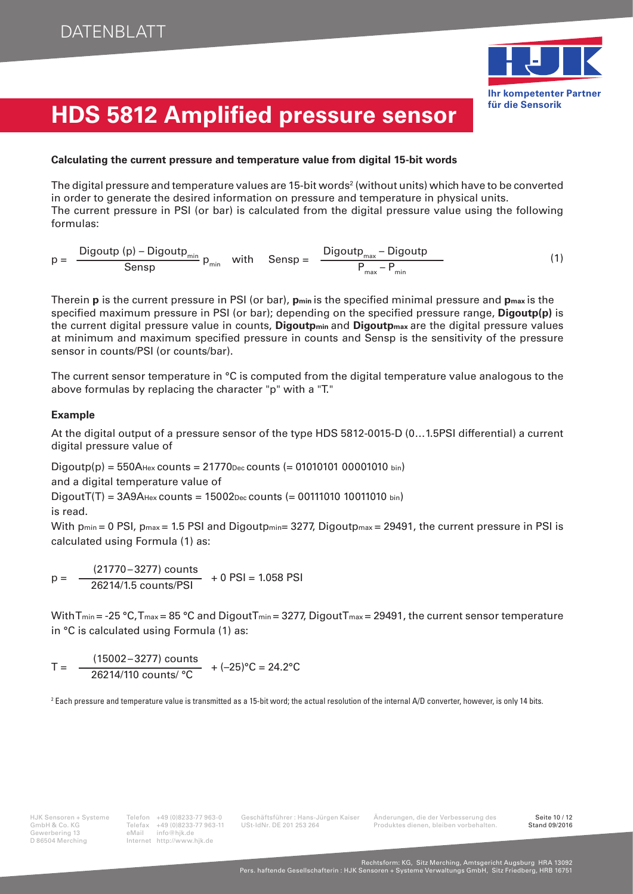

#### **Calculating the current pressure and temperature value from digital 15-bit words**

The digital pressure and temperature values are 15-bit words $^{\rm 2}$  (without units) which have to be converted in order to generate the desired information on pressure and temperature in physical units. The current pressure in PSI (or bar) is calculated from the digital pressure value using the following formulas:

 $p = \frac{Digoutp (p) - Digoutp_{min}}{Sensp} p_{min}$  with  $Sensp = \frac{Digoutp_{max} - Digoutp_{max}}{P_{max} - P_{min}}$  $Sensp = \frac{D_{\text{H}}\sum_{\text{max}} D_{\text{H}}\sum_{\text{max}} P_{\text{max}}}{n}$  (1)

Therein **p** is the current pressure in PSI (or bar), **p**<sub>min</sub> is the specified minimal pressure and **p**<sub>max</sub> is the specified maximum pressure in PSI (or bar); depending on the specified pressure range, **Digoutp(p)** is the current digital pressure value in counts, **Digoutpmin** and **Digoutpmax** are the digital pressure values at minimum and maximum specified pressure in counts and Sensp is the sensitivity of the pressure sensor in counts/PSI (or counts/bar).

The current sensor temperature in °C is computed from the digital temperature value analogous to the above formulas by replacing the character "p" with a "T."

#### **Example**

At the digital output of a pressure sensor of the type HDS 5812-0015-D (0…1.5PSI differential) a current digital pressure value of

 $Diqoutp(p) = 550A$ Hex counts = 21770Dec counts (= 01010101 00001010 bin)

and a digital temperature value of

 $DiqoutT(T) = 3A9A_{Hex} counts = 15002_{Dec} counts (= 00111010 10011010 bin)$ is read.

With p<sub>min</sub> = 0 PSI, p<sub>max</sub> = 1.5 PSI and Digoutp<sub>min</sub> = 3277, Digoutp<sub>max</sub> = 29491, the current pressure in PSI is calculated using Formula (1) as:

 $p = \frac{(21770 - 3277) \text{ counts}}{26214/1.5 \text{ counts/PSI}} + 0 \text{ PSI} = 1.058 \text{ PSI}$ 

With T<sub>min</sub> = -25 °C, T<sub>max</sub> = 85 °C and Digout T<sub>min</sub> = 3277, Digout T<sub>max</sub> = 29491, the current sensor temperature in °C is calculated using Formula (1) as:

 $T = \frac{(15002 - 3277) \text{ counts}}{26214/110 \text{ counts}/^{\circ}\text{C}} + (-25)^{\circ}\text{C} = 24.2^{\circ}\text{C}$ 

 $^2$  Each pressure and temperature value is transmitted as a 15-bit word; the actual resolution of the internal A/D converter, however, is only 14 bits.

GmbH & Co. KG<br>
Gewerbering 13 eMail info@hjk.de<br>
D 86504 Merching<br>
Mail info@hjk.de<br>
Merching<br>
Internet http://www.hjk.de Internet http://www.hjk.de

GmbH & Co. KG Telefax +49 (0)8233-77 963-11 USt-IdNr. DE 201 253 264 Produktes dienen, bleiben vorbehalten.<br>Gewerbering 13 eMail info@hik.de

HJK Sensoren + Systeme Telefon +49 (0)8233-77 963-0 Geschäftsführer : Hans-Jürgen Kaiser Änderungen, die der Verbesserung des Seite 10 / 12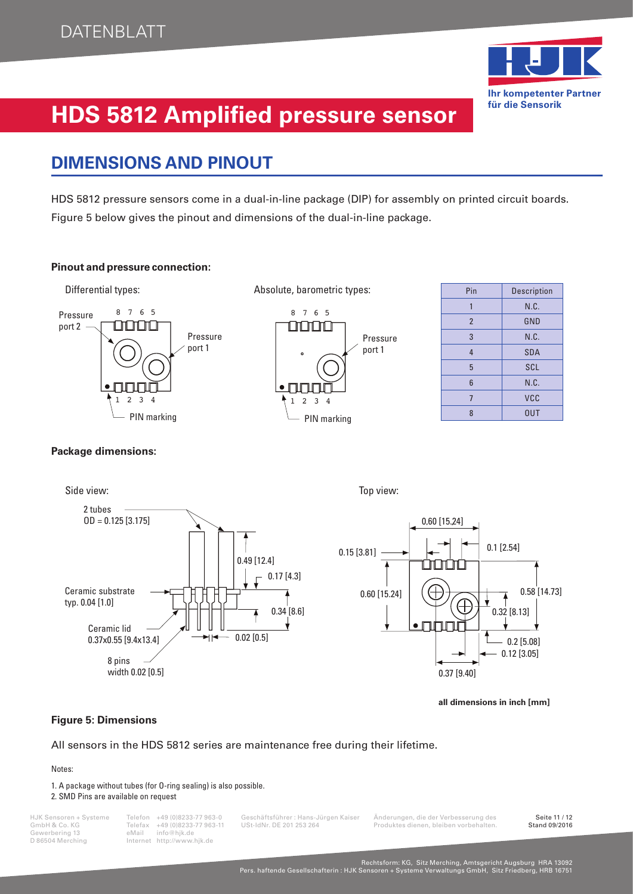

### **DIMENSIONS AND PINOUT**

HDS 5812 pressure sensors come in a dual-in-line package (DIP) for assembly on printed circuit boards. Figure 5 below gives the pinout and dimensions of the dual-in-line package.

#### **Pinout and pressure connection:**



| Pin             | <b>Description</b> |
|-----------------|--------------------|
| 1               | N.C.               |
| $\overline{2}$  | GND                |
| 3               | N.C.               |
| $\overline{4}$  | <b>SDA</b>         |
| 5               | <b>SCL</b>         |
| $6\phantom{1}6$ | N.C.               |
| $\overline{7}$  | VCC                |
| 8               | <b>OUT</b>         |

**Package dimensions:**



**all dimensions in inch [mm]**

#### **Figure 5: Dimensions**

All sensors in the HDS 5812 series are maintenance free during their lifetime.

#### Notes:

1. A package without tubes (for O-ring sealing) is also possible.

#### 2. SMD Pins are available on request

Gewerbering 13<br>D 86504 Merching

Internet http://www.hjk.de

HJK Sensoren + Systeme Telefon +49 (0)8233-77 963-0 Geschäftsführer : Hans-Jürgen Kaiser Änderungen, die der Verbesserung des Seite 11 / 12 Telefax +49 (0)8233-77 963-11 USt-IdNr. DE 201 253 264 Produktes dienen, bleiben vorbehalten.<br>eMail info@hik.de